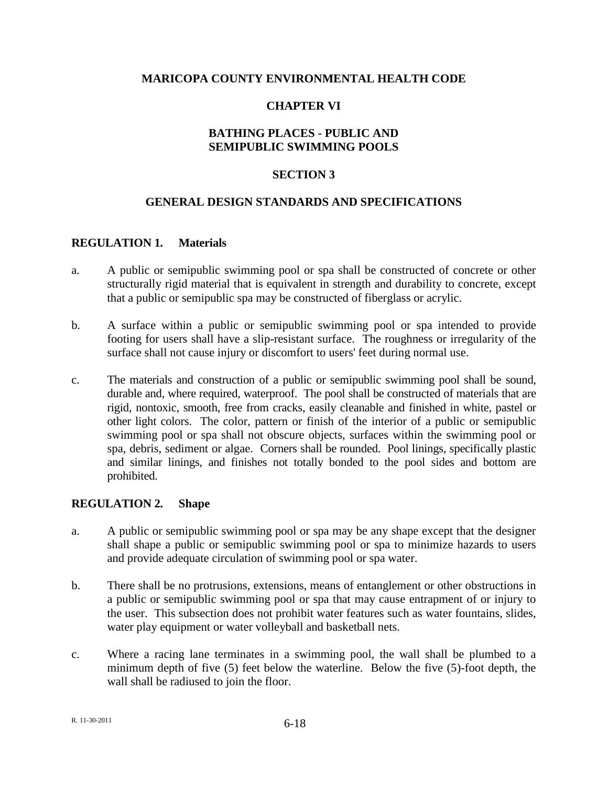### **MARICOPA COUNTY ENVIRONMENTAL HEALTH CODE**

## **CHAPTER VI**

## **BATHING PLACES - PUBLIC AND SEMIPUBLIC SWIMMING POOLS**

### **SECTION 3**

### **GENERAL DESIGN STANDARDS AND SPECIFICATIONS**

#### **REGULATION 1. Materials**

- a. A public or semipublic swimming pool or spa shall be constructed of concrete or other structurally rigid material that is equivalent in strength and durability to concrete, except that a public or semipublic spa may be constructed of fiberglass or acrylic.
- b. A surface within a public or semipublic swimming pool or spa intended to provide footing for users shall have a slip-resistant surface. The roughness or irregularity of the surface shall not cause injury or discomfort to users' feet during normal use.
- c. The materials and construction of a public or semipublic swimming pool shall be sound, durable and, where required, waterproof. The pool shall be constructed of materials that are rigid, nontoxic, smooth, free from cracks, easily cleanable and finished in white, pastel or other light colors. The color, pattern or finish of the interior of a public or semipublic swimming pool or spa shall not obscure objects, surfaces within the swimming pool or spa, debris, sediment or algae. Corners shall be rounded. Pool linings, specifically plastic and similar linings, and finishes not totally bonded to the pool sides and bottom are prohibited.

#### **REGULATION 2. Shape**

- a. A public or semipublic swimming pool or spa may be any shape except that the designer shall shape a public or semipublic swimming pool or spa to minimize hazards to users and provide adequate circulation of swimming pool or spa water.
- b. There shall be no protrusions, extensions, means of entanglement or other obstructions in a public or semipublic swimming pool or spa that may cause entrapment of or injury to the user. This subsection does not prohibit water features such as water fountains, slides, water play equipment or water volleyball and basketball nets.
- c. Where a racing lane terminates in a swimming pool, the wall shall be plumbed to a minimum depth of five (5) feet below the waterline. Below the five (5)-foot depth, the wall shall be radiused to join the floor.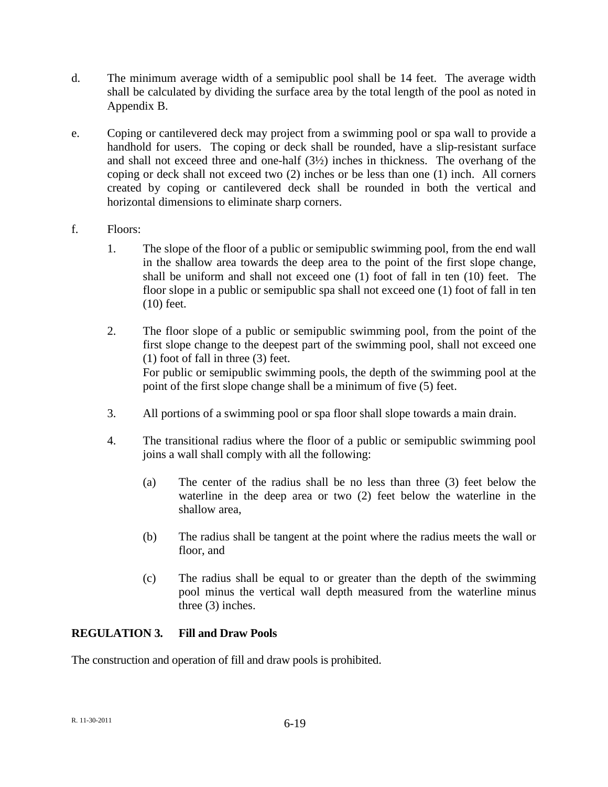- d. The minimum average width of a semipublic pool shall be 14 feet. The average width shall be calculated by dividing the surface area by the total length of the pool as noted in Appendix B.
- e. Coping or cantilevered deck may project from a swimming pool or spa wall to provide a handhold for users. The coping or deck shall be rounded, have a slip-resistant surface and shall not exceed three and one-half (3½) inches in thickness. The overhang of the coping or deck shall not exceed two (2) inches or be less than one (1) inch. All corners created by coping or cantilevered deck shall be rounded in both the vertical and horizontal dimensions to eliminate sharp corners.
- f. Floors:
	- 1. The slope of the floor of a public or semipublic swimming pool, from the end wall in the shallow area towards the deep area to the point of the first slope change, shall be uniform and shall not exceed one (1) foot of fall in ten (10) feet. The floor slope in a public or semipublic spa shall not exceed one (1) foot of fall in ten (10) feet.
	- 2. The floor slope of a public or semipublic swimming pool, from the point of the first slope change to the deepest part of the swimming pool, shall not exceed one (1) foot of fall in three (3) feet. For public or semipublic swimming pools, the depth of the swimming pool at the point of the first slope change shall be a minimum of five (5) feet.
	- 3. All portions of a swimming pool or spa floor shall slope towards a main drain.
	- 4. The transitional radius where the floor of a public or semipublic swimming pool joins a wall shall comply with all the following:
		- (a) The center of the radius shall be no less than three (3) feet below the waterline in the deep area or two (2) feet below the waterline in the shallow area,
		- (b) The radius shall be tangent at the point where the radius meets the wall or floor, and
		- (c) The radius shall be equal to or greater than the depth of the swimming pool minus the vertical wall depth measured from the waterline minus three (3) inches.

# **REGULATION 3. Fill and Draw Pools**

The construction and operation of fill and draw pools is prohibited.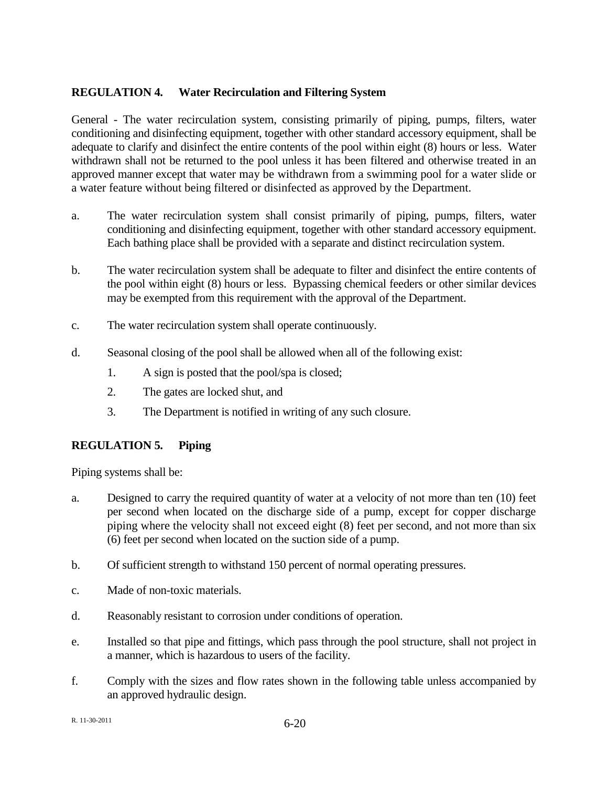# **REGULATION 4. Water Recirculation and Filtering System**

General - The water recirculation system, consisting primarily of piping, pumps, filters, water conditioning and disinfecting equipment, together with other standard accessory equipment, shall be adequate to clarify and disinfect the entire contents of the pool within eight (8) hours or less. Water withdrawn shall not be returned to the pool unless it has been filtered and otherwise treated in an approved manner except that water may be withdrawn from a swimming pool for a water slide or a water feature without being filtered or disinfected as approved by the Department.

- a. The water recirculation system shall consist primarily of piping, pumps, filters, water conditioning and disinfecting equipment, together with other standard accessory equipment. Each bathing place shall be provided with a separate and distinct recirculation system.
- b. The water recirculation system shall be adequate to filter and disinfect the entire contents of the pool within eight (8) hours or less. Bypassing chemical feeders or other similar devices may be exempted from this requirement with the approval of the Department.
- c. The water recirculation system shall operate continuously.
- d. Seasonal closing of the pool shall be allowed when all of the following exist:
	- 1. A sign is posted that the pool/spa is closed;
	- 2. The gates are locked shut, and
	- 3. The Department is notified in writing of any such closure.

# **REGULATION 5. Piping**

Piping systems shall be:

- a. Designed to carry the required quantity of water at a velocity of not more than ten (10) feet per second when located on the discharge side of a pump, except for copper discharge piping where the velocity shall not exceed eight (8) feet per second, and not more than six (6) feet per second when located on the suction side of a pump.
- b. Of sufficient strength to withstand 150 percent of normal operating pressures.
- c. Made of non-toxic materials.
- d. Reasonably resistant to corrosion under conditions of operation.
- e. Installed so that pipe and fittings, which pass through the pool structure, shall not project in a manner, which is hazardous to users of the facility.
- f. Comply with the sizes and flow rates shown in the following table unless accompanied by an approved hydraulic design.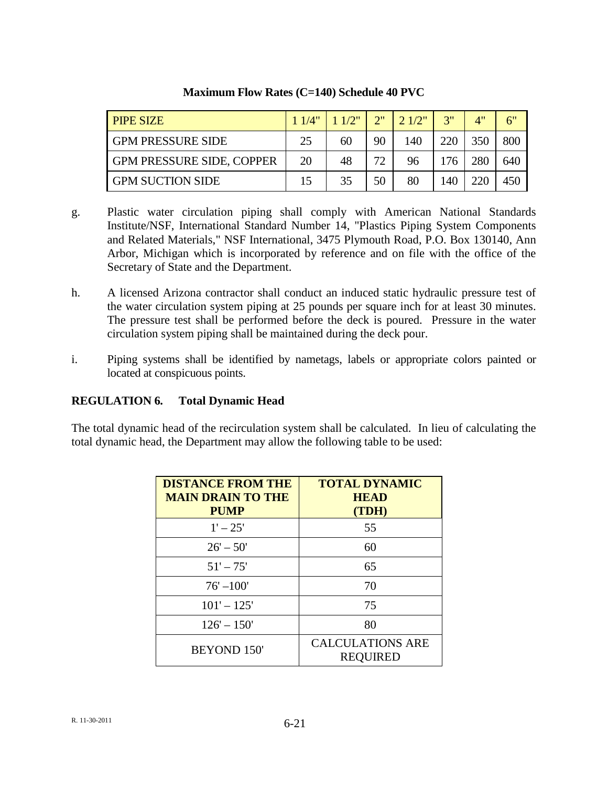| <b>PIPE SIZE</b>                 | 11/4" | 11/2" | 2" | 2.1/2" | 2"  | 4"  | 6"  |
|----------------------------------|-------|-------|----|--------|-----|-----|-----|
| <b>GPM PRESSURE SIDE</b>         | 25    | 60    | 90 | 140    | 220 | 350 | 800 |
| <b>GPM PRESSURE SIDE, COPPER</b> | 20    | 48    | 77 | 96     | 176 | 280 | 640 |
| <b>GPM SUCTION SIDE</b>          | 15    | 35    | 50 | 80     | 140 | 220 | 450 |

## **Maximum Flow Rates (C=140) Schedule 40 PVC**

- g. Plastic water circulation piping shall comply with American National Standards Institute/NSF, International Standard Number 14, "Plastics Piping System Components and Related Materials," NSF International, 3475 Plymouth Road, P.O. Box 130140, Ann Arbor, Michigan which is incorporated by reference and on file with the office of the Secretary of State and the Department.
- h. A licensed Arizona contractor shall conduct an induced static hydraulic pressure test of the water circulation system piping at 25 pounds per square inch for at least 30 minutes. The pressure test shall be performed before the deck is poured. Pressure in the water circulation system piping shall be maintained during the deck pour.
- i. Piping systems shall be identified by nametags, labels or appropriate colors painted or located at conspicuous points.

# **REGULATION 6. Total Dynamic Head**

The total dynamic head of the recirculation system shall be calculated. In lieu of calculating the total dynamic head, the Department may allow the following table to be used:

| <b>DISTANCE FROM THE</b><br><b>MAIN DRAIN TO THE</b><br><b>PUMP</b> | <b>TOTAL DYNAMIC</b><br><b>HEAD</b><br>(TDH) |  |  |
|---------------------------------------------------------------------|----------------------------------------------|--|--|
| $1' - 25'$                                                          | 55                                           |  |  |
| $26' - 50'$                                                         | 60                                           |  |  |
| $51' - 75'$                                                         | 65                                           |  |  |
| $76' - 100'$                                                        | 70                                           |  |  |
| $101' - 125'$                                                       | 75                                           |  |  |
| $126' - 150'$                                                       | 80                                           |  |  |
| <b>BEYOND 150'</b>                                                  | <b>CALCULATIONS ARE</b><br><b>REOUIRED</b>   |  |  |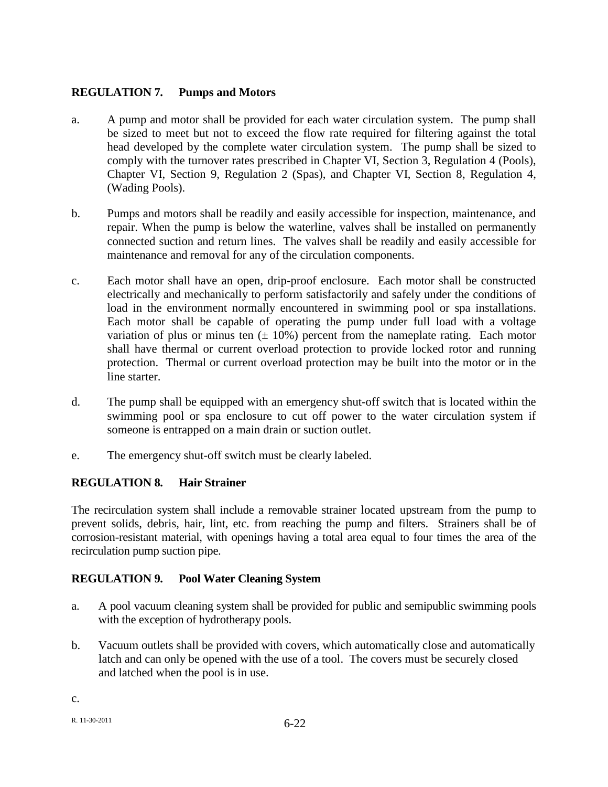# **REGULATION 7. Pumps and Motors**

- a. A pump and motor shall be provided for each water circulation system. The pump shall be sized to meet but not to exceed the flow rate required for filtering against the total head developed by the complete water circulation system. The pump shall be sized to comply with the turnover rates prescribed in Chapter VI, Section 3, Regulation 4 (Pools), Chapter VI, Section 9, Regulation 2 (Spas), and Chapter VI, Section 8, Regulation 4, (Wading Pools).
- b. Pumps and motors shall be readily and easily accessible for inspection, maintenance, and repair. When the pump is below the waterline, valves shall be installed on permanently connected suction and return lines. The valves shall be readily and easily accessible for maintenance and removal for any of the circulation components.
- c. Each motor shall have an open, drip-proof enclosure. Each motor shall be constructed electrically and mechanically to perform satisfactorily and safely under the conditions of load in the environment normally encountered in swimming pool or spa installations. Each motor shall be capable of operating the pump under full load with a voltage variation of plus or minus ten  $(\pm 10\%)$  percent from the nameplate rating. Each motor shall have thermal or current overload protection to provide locked rotor and running protection. Thermal or current overload protection may be built into the motor or in the line starter.
- d. The pump shall be equipped with an emergency shut-off switch that is located within the swimming pool or spa enclosure to cut off power to the water circulation system if someone is entrapped on a main drain or suction outlet.
- e. The emergency shut-off switch must be clearly labeled.

# **REGULATION 8. Hair Strainer**

The recirculation system shall include a removable strainer located upstream from the pump to prevent solids, debris, hair, lint, etc. from reaching the pump and filters. Strainers shall be of corrosion-resistant material, with openings having a total area equal to four times the area of the recirculation pump suction pipe.

# **REGULATION 9. Pool Water Cleaning System**

- a. A pool vacuum cleaning system shall be provided for public and semipublic swimming pools with the exception of hydrotherapy pools.
- b. Vacuum outlets shall be provided with covers, which automatically close and automatically latch and can only be opened with the use of a tool. The covers must be securely closed and latched when the pool is in use.

c.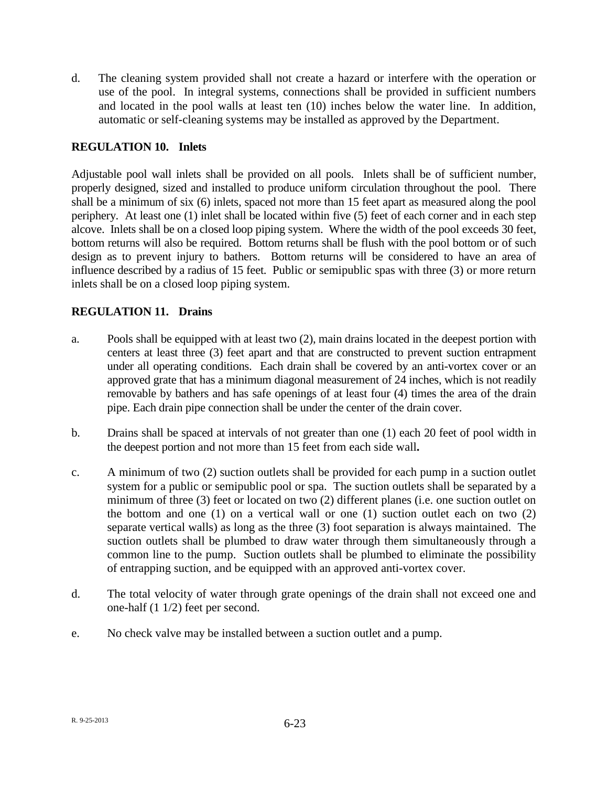d. The cleaning system provided shall not create a hazard or interfere with the operation or use of the pool. In integral systems, connections shall be provided in sufficient numbers and located in the pool walls at least ten (10) inches below the water line. In addition, automatic or self-cleaning systems may be installed as approved by the Department.

# **REGULATION 10. Inlets**

Adjustable pool wall inlets shall be provided on all pools. Inlets shall be of sufficient number, properly designed, sized and installed to produce uniform circulation throughout the pool. There shall be a minimum of six (6) inlets, spaced not more than 15 feet apart as measured along the pool periphery. At least one (1) inlet shall be located within five (5) feet of each corner and in each step alcove. Inlets shall be on a closed loop piping system. Where the width of the pool exceeds 30 feet, bottom returns will also be required. Bottom returns shall be flush with the pool bottom or of such design as to prevent injury to bathers. Bottom return*s* will be considered to have an area of influence described by a radius of 15 feet. Public or semipublic spas with three (3) or more return inlets shall be on a closed loop piping system.

## **REGULATION 11. Drains**

- a. Pools shall be equipped with at least two (2), main drains located in the deepest portion with centers at least three (3) feet apart and that are constructed to prevent suction entrapment under all operating conditions. Each drain shall be covered by an anti-vortex cover or an approved grate that has a minimum diagonal measurement of 24 inches, which is not readily removable by bathers and has safe openings of at least four (4) times the area of the drain pipe. Each drain pipe connection shall be under the center of the drain cover.
- b. Drains shall be spaced at intervals of not greater than one (1) each 20 feet of pool width in the deepest portion and not more than 15 feet from each side wall**.**
- c. A minimum of two (2) suction outlets shall be provided for each pump in a suction outlet system for a public or semipublic pool or spa. The suction outlets shall be separated by a minimum of three (3) feet or located on two (2) different planes (i.e. one suction outlet on the bottom and one (1) on a vertical wall or one (1) suction outlet each on two (2) separate vertical walls) as long as the three (3) foot separation is always maintained. The suction outlets shall be plumbed to draw water through them simultaneously through a common line to the pump. Suction outlets shall be plumbed to eliminate the possibility of entrapping suction, and be equipped with an approved anti-vortex cover.
- d. The total velocity of water through grate openings of the drain shall not exceed one and one-half (1 1/2) feet per second.
- e. No check valve may be installed between a suction outlet and a pump.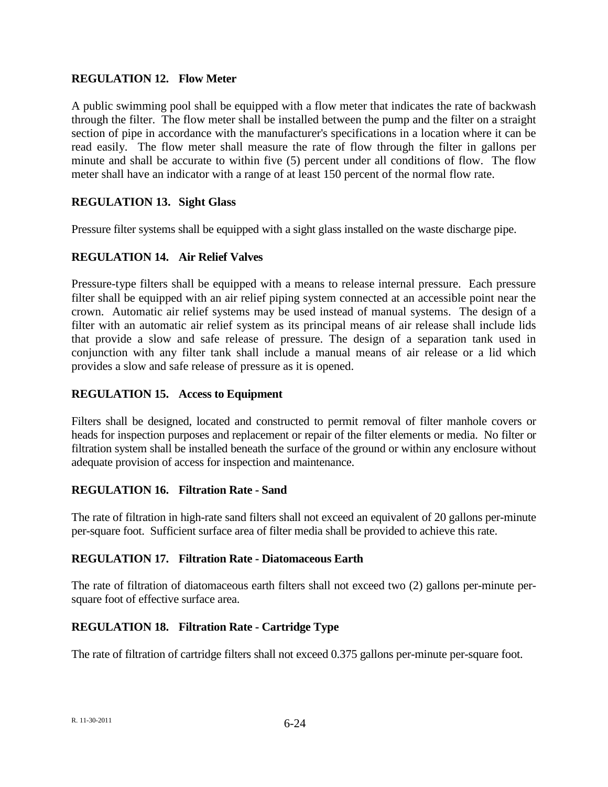### **REGULATION 12. Flow Meter**

A public swimming pool shall be equipped with a flow meter that indicates the rate of backwash through the filter. The flow meter shall be installed between the pump and the filter on a straight section of pipe in accordance with the manufacturer's specifications in a location where it can be read easily. The flow meter shall measure the rate of flow through the filter in gallons per minute and shall be accurate to within five (5) percent under all conditions of flow. The flow meter shall have an indicator with a range of at least 150 percent of the normal flow rate.

## **REGULATION 13. Sight Glass**

Pressure filter systems shall be equipped with a sight glass installed on the waste discharge pipe.

## **REGULATION 14. Air Relief Valves**

Pressure-type filters shall be equipped with a means to release internal pressure. Each pressure filter shall be equipped with an air relief piping system connected at an accessible point near the crown. Automatic air relief systems may be used instead of manual systems. The design of a filter with an automatic air relief system as its principal means of air release shall include lids that provide a slow and safe release of pressure. The design of a separation tank used in conjunction with any filter tank shall include a manual means of air release or a lid which provides a slow and safe release of pressure as it is opened.

### **REGULATION 15. Access to Equipment**

Filters shall be designed, located and constructed to permit removal of filter manhole covers or heads for inspection purposes and replacement or repair of the filter elements or media. No filter or filtration system shall be installed beneath the surface of the ground or within any enclosure without adequate provision of access for inspection and maintenance.

### **REGULATION 16. Filtration Rate - Sand**

The rate of filtration in high-rate sand filters shall not exceed an equivalent of 20 gallons per-minute per-square foot. Sufficient surface area of filter media shall be provided to achieve this rate.

#### **REGULATION 17. Filtration Rate - Diatomaceous Earth**

The rate of filtration of diatomaceous earth filters shall not exceed two (2) gallons per-minute persquare foot of effective surface area.

### **REGULATION 18. Filtration Rate - Cartridge Type**

The rate of filtration of cartridge filters shall not exceed 0.375 gallons per-minute per-square foot.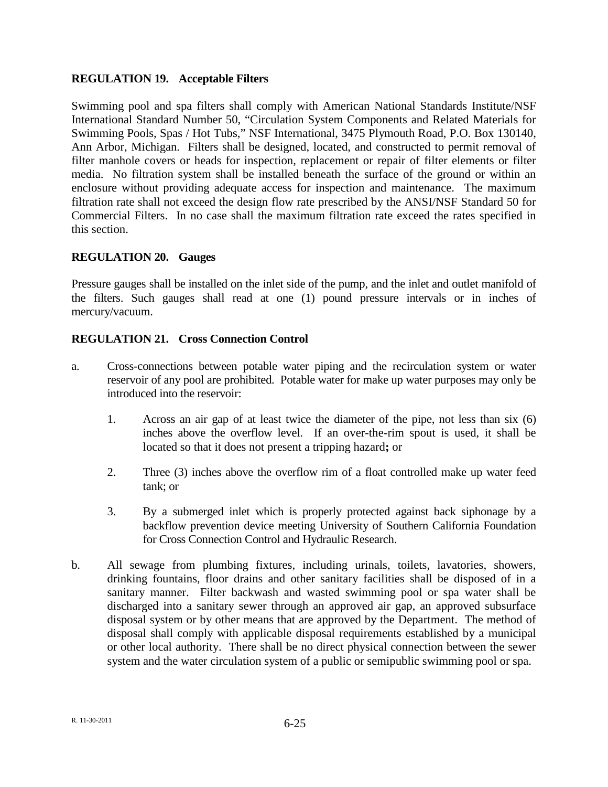### **REGULATION 19. Acceptable Filters**

Swimming pool and spa filters shall comply with American National Standards Institute/NSF International Standard Number 50, "Circulation System Components and Related Materials for Swimming Pools, Spas / Hot Tubs," NSF International, 3475 Plymouth Road, P.O. Box 130140, Ann Arbor, Michigan. Filters shall be designed, located, and constructed to permit removal of filter manhole covers or heads for inspection, replacement or repair of filter elements or filter media. No filtration system shall be installed beneath the surface of the ground or within an enclosure without providing adequate access for inspection and maintenance. The maximum filtration rate shall not exceed the design flow rate prescribed by the ANSI/NSF Standard 50 for Commercial Filters. In no case shall the maximum filtration rate exceed the rates specified in this section.

### **REGULATION 20. Gauges**

Pressure gauges shall be installed on the inlet side of the pump, and the inlet and outlet manifold of the filters. Such gauges shall read at one (1) pound pressure intervals or in inches of mercury/vacuum.

## **REGULATION 21. Cross Connection Control**

- a. Cross-connections between potable water piping and the recirculation system or water reservoir of any pool are prohibited. Potable water for make up water purposes may only be introduced into the reservoir:
	- 1. Across an air gap of at least twice the diameter of the pipe, not less than six (6) inches above the overflow level. If an over-the-rim spout is used, it shall be located so that it does not present a tripping hazard**;** or
	- 2. Three (3) inches above the overflow rim of a float controlled make up water feed tank; or
	- 3. By a submerged inlet which is properly protected against back siphonage by a backflow prevention device meeting University of Southern California Foundation for Cross Connection Control and Hydraulic Research.
- b. All sewage from plumbing fixtures, including urinals, toilets, lavatories, showers, drinking fountains, floor drains and other sanitary facilities shall be disposed of in a sanitary manner. Filter backwash and wasted swimming pool or spa water shall be discharged into a sanitary sewer through an approved air gap, an approved subsurface disposal system or by other means that are approved by the Department. The method of disposal shall comply with applicable disposal requirements established by a municipal or other local authority. There shall be no direct physical connection between the sewer system and the water circulation system of a public or semipublic swimming pool or spa.